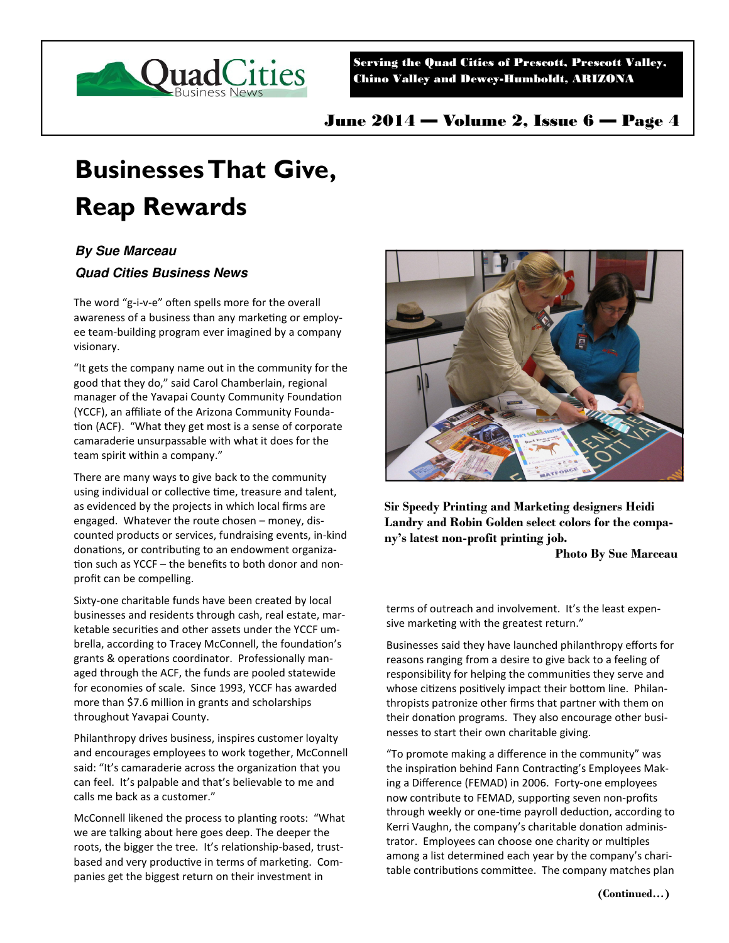

Serving the Quad Cities of Prescott, Prescott Valley, Chino Valley and Dewey-Humboldt, ARIZONA

June 2014 — Volume 2, Issue 6 — Page 4

## **Businesses That Give, Reap Rewards**

## **By Sue Marceau**

## **Quad Cities Business News**

The word "g-i-v-e" often spells more for the overall awareness of a business than any marketing or employee team-building program ever imagined by a company visionary.

"It gets the company name out in the community for the good that they do," said Carol Chamberlain, regional manager of the Yavapai County Community Foundation (YCCF), an affiliate of the Arizona Community Founda tion (ACF). "What they get most is a sense of corporate camaraderie unsurpassable with what it does for the team spirit within a company."

There are many ways to give back to the community using individual or collective time, treasure and talent, as evidenced by the projects in which local firms are engaged. Whatever the route chosen – money, discounted products or services, fundraising events, in-kind donations, or contributing to an endowment organization such as YCCF – the benefits to both donor and nonprofit can be compelling.

Sixty-one charitable funds have been created by local businesses and residents through cash, real estate, marketable securities and other assets under the YCCF umbrella, according to Tracey McConnell, the foundation's grants & operations coordinator. Professionally managed through the ACF, the funds are pooled statewide for economies of scale. Since 1993, YCCF has awarded more than \$7.6 million in grants and scholarships throughout Yavapai County.

Philanthropy drives business, inspires customer loyalty and encourages employees to work together, McConnell said: "It's camaraderie across the organization that you can feel. It's palpable and that's believable to me and calls me back as a customer."

McConnell likened the process to planting roots: "What we are talking about here goes deep. The deeper the roots, the bigger the tree. It's relationship-based, trustbased and very productive in terms of marketing. Companies get the biggest return on their investment in



**Sir Speedy Printing and Marketing designers Heidi Landry and Robin Golden select colors for the company's latest non-profit printing job.** 

**Photo By Sue Marceau** 

terms of outreach and involvement. It's the least expensive marketing with the greatest return."

Businesses said they have launched philanthropy efforts for reasons ranging from a desire to give back to a feeling of responsibility for helping the communities they serve and whose citizens positively impact their bottom line. Philanthropists patronize other firms that partner with them on their donation programs. They also encourage other businesses to start their own charitable giving.

"To promote making a difference in the community" was the inspiration behind Fann Contracting's Employees Making a Difference (FEMAD) in 2006. Forty-one employees now contribute to FEMAD, supporting seven non-profits through weekly or one-time payroll deduction, according to Kerri Vaughn, the company's charitable donation administrator. Employees can choose one charity or multiples among a list determined each year by the company's charitable contributions committee. The company matches plan